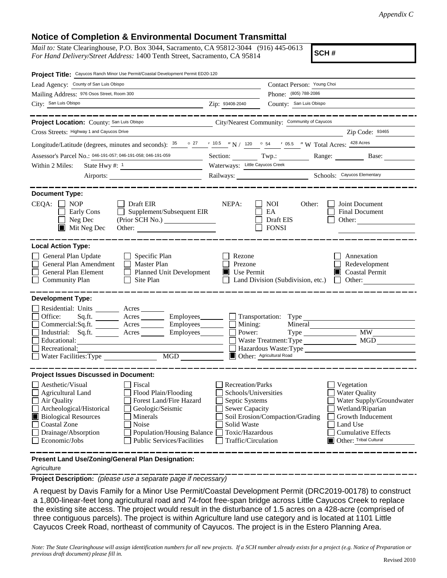## **Notice of Completion & Environmental Document Transmittal**

*Mail to:* State Clearinghouse, P.O. Box 3044, Sacramento, CA 95812-3044 (916) 445-0613 *For Hand Delivery/Street Address:* 1400 Tenth Street, Sacramento, CA 95814

**SCH #**

| Project Title: Cayucos Ranch Minor Use Permit/Coastal Development Permit ED20-120                                                                                                                                                                                                                                                                |                                                                                                                                              |                                                                                                      |                                                                                                                                                                            |  |
|--------------------------------------------------------------------------------------------------------------------------------------------------------------------------------------------------------------------------------------------------------------------------------------------------------------------------------------------------|----------------------------------------------------------------------------------------------------------------------------------------------|------------------------------------------------------------------------------------------------------|----------------------------------------------------------------------------------------------------------------------------------------------------------------------------|--|
| Lead Agency: County of San Luis Obispo                                                                                                                                                                                                                                                                                                           |                                                                                                                                              | Contact Person: Young Choi                                                                           |                                                                                                                                                                            |  |
| Mailing Address: 976 Osos Street, Room 300                                                                                                                                                                                                                                                                                                       | Phone: (805) 788-2086                                                                                                                        |                                                                                                      |                                                                                                                                                                            |  |
| City: San Luis Obispo                                                                                                                                                                                                                                                                                                                            | Zip: 93408-2040                                                                                                                              | County: San Luis Obispo                                                                              |                                                                                                                                                                            |  |
|                                                                                                                                                                                                                                                                                                                                                  |                                                                                                                                              |                                                                                                      |                                                                                                                                                                            |  |
| Project Location: County: San Luis Obispo                                                                                                                                                                                                                                                                                                        |                                                                                                                                              | City/Nearest Community: Community of Cayucos                                                         |                                                                                                                                                                            |  |
| Cross Streets: Highway 1 and Cayucos Drive                                                                                                                                                                                                                                                                                                       |                                                                                                                                              |                                                                                                      | Zip Code: 93465                                                                                                                                                            |  |
| Longitude/Latitude (degrees, minutes and seconds): $\frac{35}{25}$ $\frac{27}{10.5}$ $\frac{10.5}{10.5}$ $\frac{10.5}{10.5}$ $\frac{10.5}{10.5}$ $\frac{54}{10.5}$ $\frac{105.5}{10.5}$ W Total Acres: $\frac{428 \text{ Acres}}{10.5}$                                                                                                          |                                                                                                                                              |                                                                                                      |                                                                                                                                                                            |  |
| Assessor's Parcel No.: 046-191-057; 046-191-058; 046-191-059                                                                                                                                                                                                                                                                                     |                                                                                                                                              |                                                                                                      | Section: Twp.: Range: Base:                                                                                                                                                |  |
| Within 2 Miles:<br>State Hwy #: 1                                                                                                                                                                                                                                                                                                                | Waterways: Little Cayucos Creek                                                                                                              |                                                                                                      |                                                                                                                                                                            |  |
|                                                                                                                                                                                                                                                                                                                                                  |                                                                                                                                              | Railways: Schools: Cayucos Elementary                                                                |                                                                                                                                                                            |  |
|                                                                                                                                                                                                                                                                                                                                                  |                                                                                                                                              |                                                                                                      |                                                                                                                                                                            |  |
| <b>Document Type:</b><br>CEQA:<br><b>NOP</b><br>Draft EIR<br>$\Box$ Supplement/Subsequent EIR<br>Early Cons<br>Neg Dec<br>$\blacksquare$ Mit Neg Dec<br>Other:                                                                                                                                                                                   | NEPA:                                                                                                                                        | <b>NOI</b><br>Other:<br>EA<br>Draft EIS<br><b>FONSI</b>                                              | Joint Document<br>Final Document<br>Other:                                                                                                                                 |  |
| <b>Local Action Type:</b><br>General Plan Update<br>$\Box$ Specific Plan<br>General Plan Amendment<br>Master Plan<br>General Plan Element<br>П<br><b>Planned Unit Development</b><br><b>Community Plan</b><br>Site Plan                                                                                                                          | Rezone<br>Prezone<br>$\blacksquare$ Use Permit                                                                                               | Land Division (Subdivision, etc.)                                                                    | Annexation<br>Redevelopment<br>Coastal Permit<br>Other:                                                                                                                    |  |
| <b>Development Type:</b>                                                                                                                                                                                                                                                                                                                         |                                                                                                                                              |                                                                                                      |                                                                                                                                                                            |  |
| Residential: Units ________ Acres ______<br>Office:<br>Sq.fit.<br>Acres <u>Community Employees</u><br>Commercial:Sq.ft. Acres Employees<br>Industrial: Sq.ft. Acres<br>Employees________<br>Educational:<br>Recreational:<br>MGD<br>Water Facilities: Type                                                                                       | Mining:<br>$\mathsf{L}$<br>Power:                                                                                                            | Mineral<br>$Type \_\_$<br>Waste Treatment: Type<br>Hazardous Waste: Type<br>Other: Agricultural Road | <b>MW</b><br>MGD                                                                                                                                                           |  |
| <b>Project Issues Discussed in Document:</b>                                                                                                                                                                                                                                                                                                     |                                                                                                                                              |                                                                                                      |                                                                                                                                                                            |  |
| Aesthetic/Visual<br>Fiscal<br>Flood Plain/Flooding<br>Agricultural Land<br>Forest Land/Fire Hazard<br>Air Quality<br>Archeological/Historical<br>Geologic/Seismic<br><b>Biological Resources</b><br>Minerals<br>Coastal Zone<br>Noise<br>Drainage/Absorption<br>Population/Housing Balance<br>Economic/Jobs<br><b>Public Services/Facilities</b> | Recreation/Parks<br>Schools/Universities<br>Septic Systems<br><b>Sewer Capacity</b><br>Solid Waste<br>Toxic/Hazardous<br>Traffic/Circulation | Soil Erosion/Compaction/Grading                                                                      | Vegetation<br><b>Water Quality</b><br>Water Supply/Groundwater<br>Wetland/Riparian<br>Growth Inducement<br>Land Use<br><b>Cumulative Effects</b><br>Other: Tribal Cultural |  |
| Present Land Use/Zoning/General Plan Designation:                                                                                                                                                                                                                                                                                                |                                                                                                                                              |                                                                                                      |                                                                                                                                                                            |  |

Agriculture

**Project Description:** *(please use a separate page if necessary)*

 A request by Davis Family for a Minor Use Permit/Coastal Development Permit (DRC2019-00178) to construct a 1,800-linear-feet long agricultural road and 74-foot free-span bridge across Little Cayucos Creek to replace the existing site access. The project would result in the disturbance of 1.5 acres on a 428-acre (comprised of three contiguous parcels). The project is within Agriculture land use category and is located at 1101 Little Cayucos Creek Road, northeast of community of Cayucos. The project is in the Estero Planning Area.

*Note: The State Clearinghouse will assign identification numbers for all new projects. If a SCH number already exists for a project (e.g. Notice of Preparation or previous draft document) please fill in.*